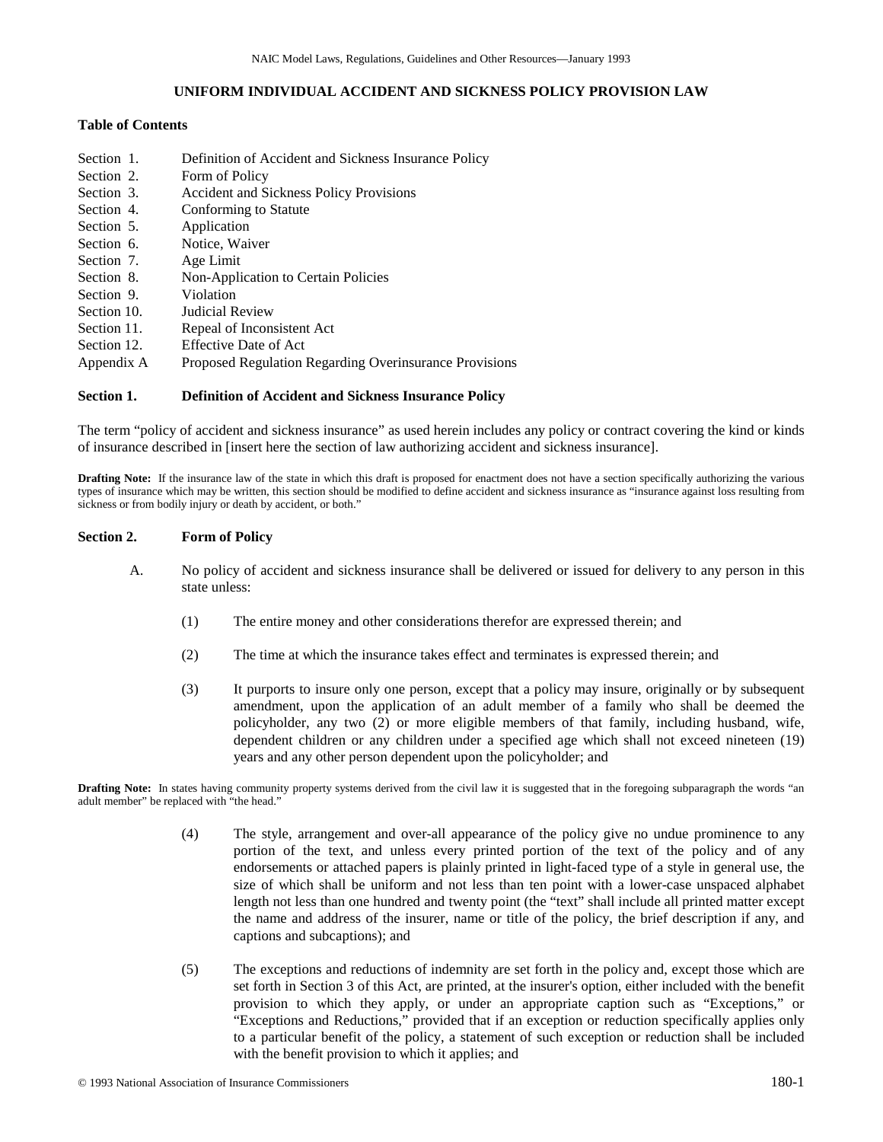### **Table of Contents**

| Section 1.  | Definition of Accident and Sickness Insurance Policy   |
|-------------|--------------------------------------------------------|
| Section 2.  | Form of Policy                                         |
| Section 3.  | <b>Accident and Sickness Policy Provisions</b>         |
| Section 4.  | Conforming to Statute                                  |
| Section 5.  | Application                                            |
| Section 6.  | Notice, Waiver                                         |
| Section 7.  | Age Limit                                              |
| Section 8.  | Non-Application to Certain Policies                    |
| Section 9.  | Violation                                              |
| Section 10. | Judicial Review                                        |
| Section 11. | Repeal of Inconsistent Act                             |
| Section 12. | <b>Effective Date of Act</b>                           |
| Appendix A  | Proposed Regulation Regarding Overinsurance Provisions |

#### **Section 1. Definition of Accident and Sickness Insurance Policy**

The term "policy of accident and sickness insurance" as used herein includes any policy or contract covering the kind or kinds of insurance described in [insert here the section of law authorizing accident and sickness insurance].

**Drafting Note:** If the insurance law of the state in which this draft is proposed for enactment does not have a section specifically authorizing the various types of insurance which may be written, this section should be modified to define accident and sickness insurance as "insurance against loss resulting from sickness or from bodily injury or death by accident, or both."

#### **Section 2. Form of Policy**

- A. No policy of accident and sickness insurance shall be delivered or issued for delivery to any person in this state unless:
	- (1) The entire money and other considerations therefor are expressed therein; and
	- (2) The time at which the insurance takes effect and terminates is expressed therein; and
	- (3) It purports to insure only one person, except that a policy may insure, originally or by subsequent amendment, upon the application of an adult member of a family who shall be deemed the policyholder, any two (2) or more eligible members of that family, including husband, wife, dependent children or any children under a specified age which shall not exceed nineteen (19) years and any other person dependent upon the policyholder; and

**Drafting Note:** In states having community property systems derived from the civil law it is suggested that in the foregoing subparagraph the words "an adult member" be replaced with "the head."

- (4) The style, arrangement and over-all appearance of the policy give no undue prominence to any portion of the text, and unless every printed portion of the text of the policy and of any endorsements or attached papers is plainly printed in light-faced type of a style in general use, the size of which shall be uniform and not less than ten point with a lower-case unspaced alphabet length not less than one hundred and twenty point (the "text" shall include all printed matter except the name and address of the insurer, name or title of the policy, the brief description if any, and captions and subcaptions); and
- (5) The exceptions and reductions of indemnity are set forth in the policy and, except those which are set forth in Section 3 of this Act, are printed, at the insurer's option, either included with the benefit provision to which they apply, or under an appropriate caption such as "Exceptions," or "Exceptions and Reductions," provided that if an exception or reduction specifically applies only to a particular benefit of the policy, a statement of such exception or reduction shall be included with the benefit provision to which it applies; and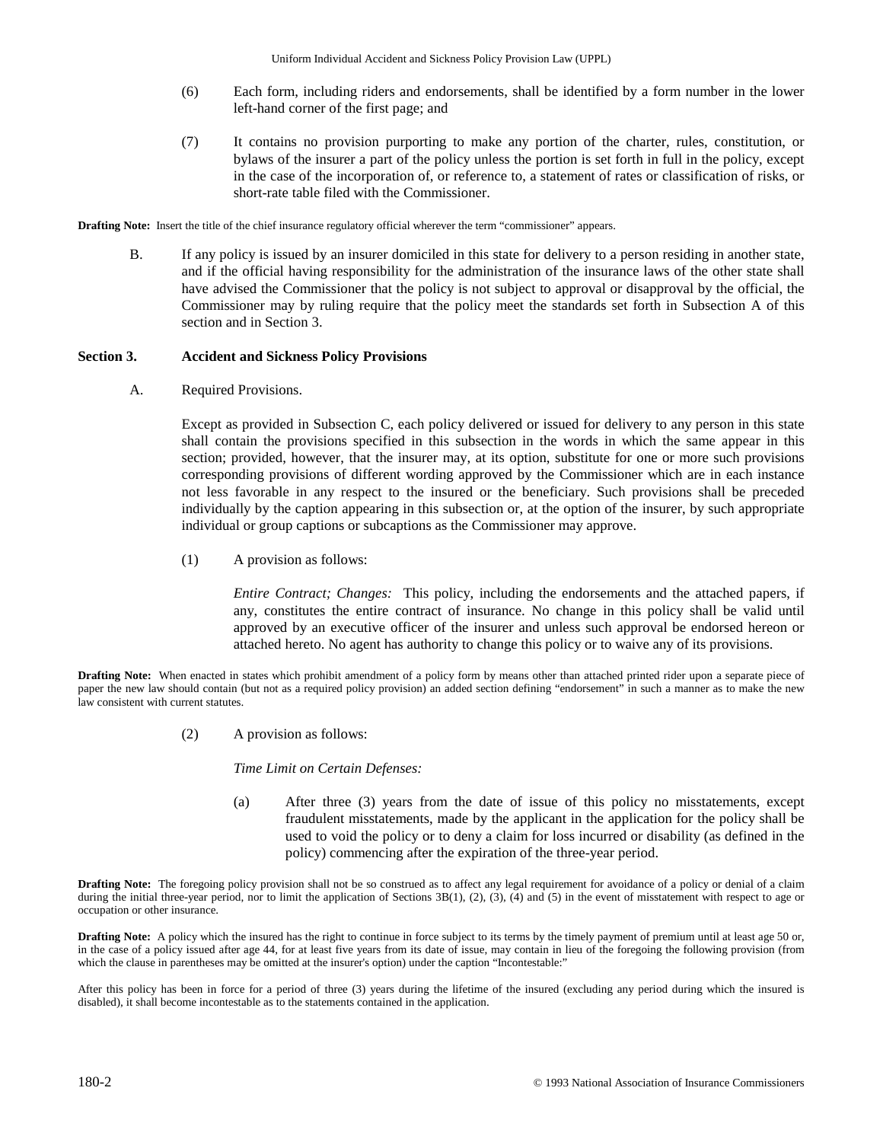- (6) Each form, including riders and endorsements, shall be identified by a form number in the lower left-hand corner of the first page; and
- (7) It contains no provision purporting to make any portion of the charter, rules, constitution, or bylaws of the insurer a part of the policy unless the portion is set forth in full in the policy, except in the case of the incorporation of, or reference to, a statement of rates or classification of risks, or short-rate table filed with the Commissioner.

**Drafting Note:** Insert the title of the chief insurance regulatory official wherever the term "commissioner" appears.

B. If any policy is issued by an insurer domiciled in this state for delivery to a person residing in another state, and if the official having responsibility for the administration of the insurance laws of the other state shall have advised the Commissioner that the policy is not subject to approval or disapproval by the official, the Commissioner may by ruling require that the policy meet the standards set forth in Subsection A of this section and in Section 3.

# **Section 3. Accident and Sickness Policy Provisions**

A. Required Provisions.

Except as provided in Subsection C, each policy delivered or issued for delivery to any person in this state shall contain the provisions specified in this subsection in the words in which the same appear in this section; provided, however, that the insurer may, at its option, substitute for one or more such provisions corresponding provisions of different wording approved by the Commissioner which are in each instance not less favorable in any respect to the insured or the beneficiary. Such provisions shall be preceded individually by the caption appearing in this subsection or, at the option of the insurer, by such appropriate individual or group captions or subcaptions as the Commissioner may approve.

(1) A provision as follows:

*Entire Contract; Changes:* This policy, including the endorsements and the attached papers, if any, constitutes the entire contract of insurance. No change in this policy shall be valid until approved by an executive officer of the insurer and unless such approval be endorsed hereon or attached hereto. No agent has authority to change this policy or to waive any of its provisions.

**Drafting Note:** When enacted in states which prohibit amendment of a policy form by means other than attached printed rider upon a separate piece of paper the new law should contain (but not as a required policy provision) an added section defining "endorsement" in such a manner as to make the new law consistent with current statutes.

(2) A provision as follows:

*Time Limit on Certain Defenses:*

(a) After three (3) years from the date of issue of this policy no misstatements, except fraudulent misstatements, made by the applicant in the application for the policy shall be used to void the policy or to deny a claim for loss incurred or disability (as defined in the policy) commencing after the expiration of the three-year period.

**Drafting Note:** The foregoing policy provision shall not be so construed as to affect any legal requirement for avoidance of a policy or denial of a claim during the initial three-year period, nor to limit the application of Sections 3B(1), (2), (3), (4) and (5) in the event of misstatement with respect to age or occupation or other insurance.

**Drafting Note:** A policy which the insured has the right to continue in force subject to its terms by the timely payment of premium until at least age 50 or, in the case of a policy issued after age 44, for at least five years from its date of issue, may contain in lieu of the foregoing the following provision (from which the clause in parentheses may be omitted at the insurer's option) under the caption "Incontestable:"

After this policy has been in force for a period of three (3) years during the lifetime of the insured (excluding any period during which the insured is disabled), it shall become incontestable as to the statements contained in the application.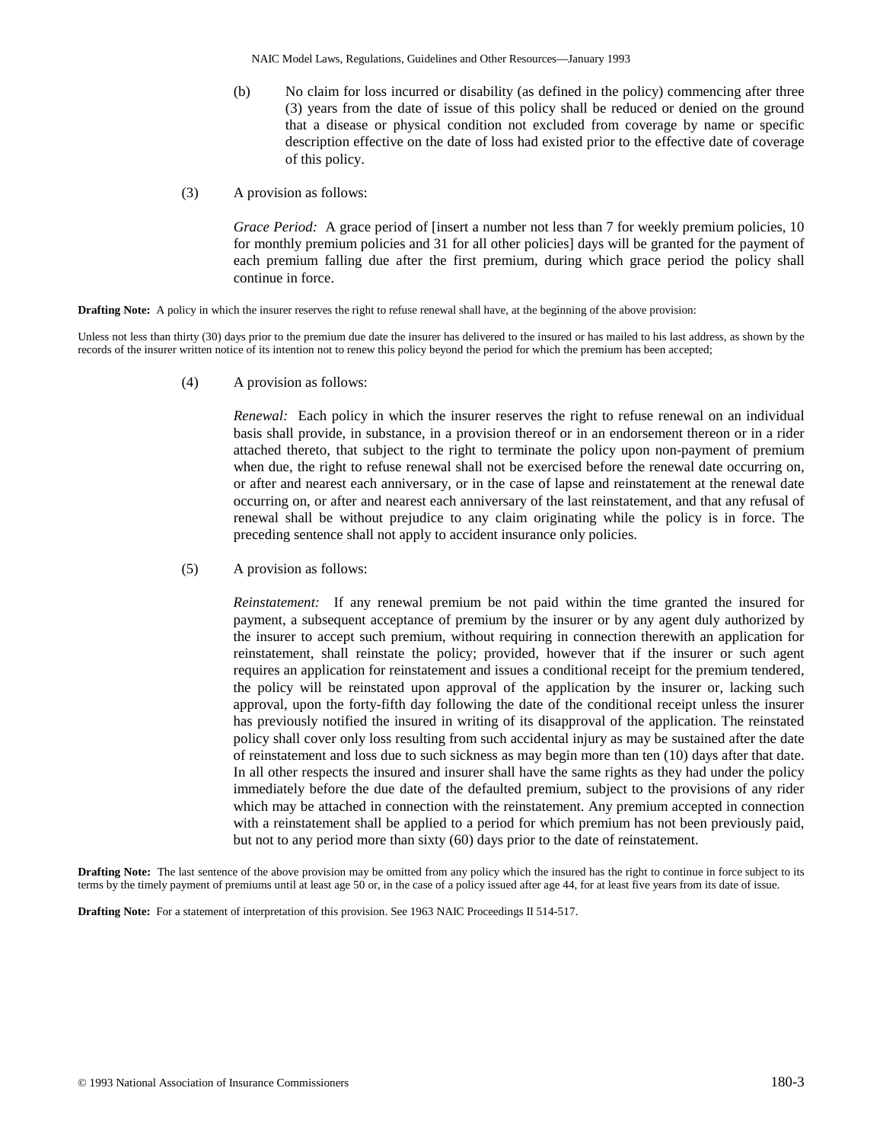NAIC Model Laws, Regulations, Guidelines and Other Resources—January 1993

- (b) No claim for loss incurred or disability (as defined in the policy) commencing after three (3) years from the date of issue of this policy shall be reduced or denied on the ground that a disease or physical condition not excluded from coverage by name or specific description effective on the date of loss had existed prior to the effective date of coverage of this policy.
- (3) A provision as follows:

*Grace Period:* A grace period of [insert a number not less than 7 for weekly premium policies, 10 for monthly premium policies and 31 for all other policies] days will be granted for the payment of each premium falling due after the first premium, during which grace period the policy shall continue in force.

**Drafting Note:** A policy in which the insurer reserves the right to refuse renewal shall have, at the beginning of the above provision:

Unless not less than thirty (30) days prior to the premium due date the insurer has delivered to the insured or has mailed to his last address, as shown by the records of the insurer written notice of its intention not to renew this policy beyond the period for which the premium has been accepted;

(4) A provision as follows:

*Renewal:* Each policy in which the insurer reserves the right to refuse renewal on an individual basis shall provide, in substance, in a provision thereof or in an endorsement thereon or in a rider attached thereto, that subject to the right to terminate the policy upon non-payment of premium when due, the right to refuse renewal shall not be exercised before the renewal date occurring on, or after and nearest each anniversary, or in the case of lapse and reinstatement at the renewal date occurring on, or after and nearest each anniversary of the last reinstatement, and that any refusal of renewal shall be without prejudice to any claim originating while the policy is in force. The preceding sentence shall not apply to accident insurance only policies.

(5) A provision as follows:

*Reinstatement:* If any renewal premium be not paid within the time granted the insured for payment, a subsequent acceptance of premium by the insurer or by any agent duly authorized by the insurer to accept such premium, without requiring in connection therewith an application for reinstatement, shall reinstate the policy; provided, however that if the insurer or such agent requires an application for reinstatement and issues a conditional receipt for the premium tendered, the policy will be reinstated upon approval of the application by the insurer or, lacking such approval, upon the forty-fifth day following the date of the conditional receipt unless the insurer has previously notified the insured in writing of its disapproval of the application. The reinstated policy shall cover only loss resulting from such accidental injury as may be sustained after the date of reinstatement and loss due to such sickness as may begin more than ten (10) days after that date. In all other respects the insured and insurer shall have the same rights as they had under the policy immediately before the due date of the defaulted premium, subject to the provisions of any rider which may be attached in connection with the reinstatement. Any premium accepted in connection with a reinstatement shall be applied to a period for which premium has not been previously paid, but not to any period more than sixty (60) days prior to the date of reinstatement.

**Drafting Note:** The last sentence of the above provision may be omitted from any policy which the insured has the right to continue in force subject to its terms by the timely payment of premiums until at least age 50 or, in the case of a policy issued after age 44, for at least five years from its date of issue.

**Drafting Note:** For a statement of interpretation of this provision. See 1963 NAIC Proceedings II 514-517.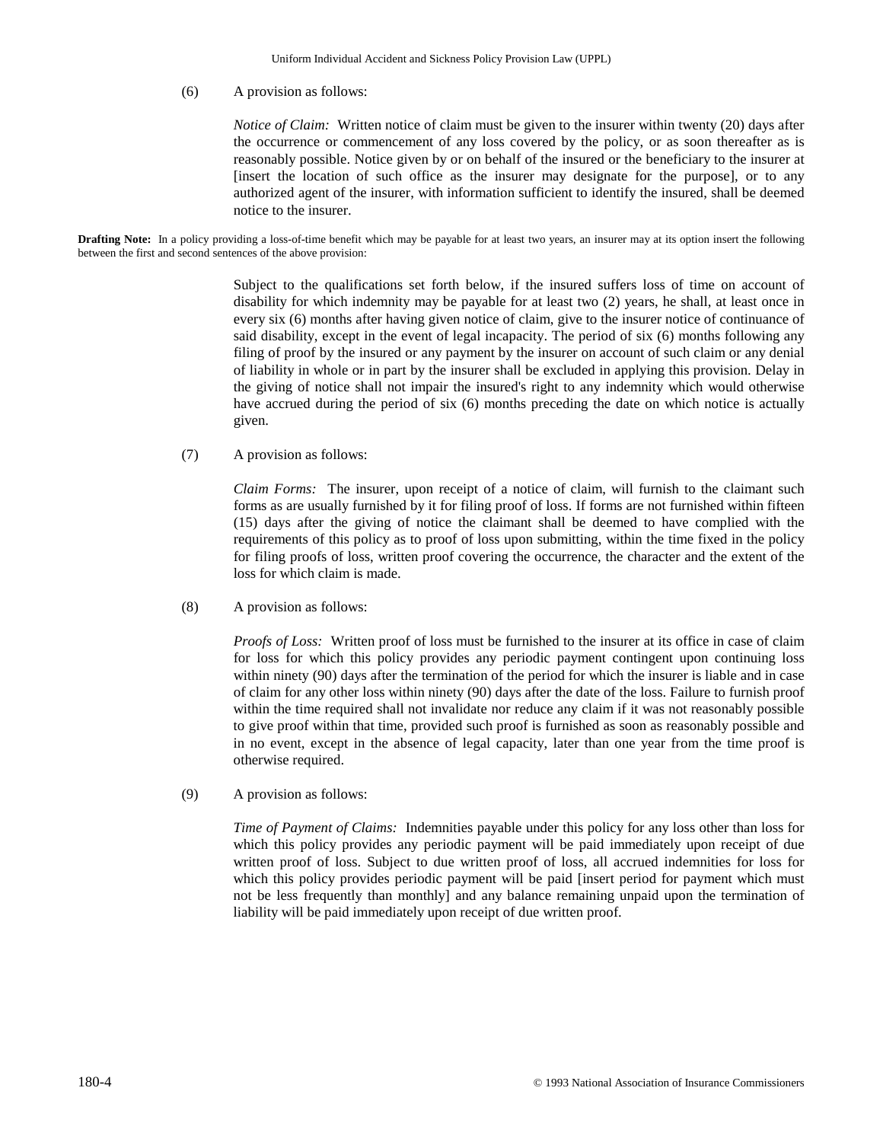(6) A provision as follows:

*Notice of Claim:* Written notice of claim must be given to the insurer within twenty (20) days after the occurrence or commencement of any loss covered by the policy, or as soon thereafter as is reasonably possible. Notice given by or on behalf of the insured or the beneficiary to the insurer at [insert the location of such office as the insurer may designate for the purpose], or to any authorized agent of the insurer, with information sufficient to identify the insured, shall be deemed notice to the insurer.

**Drafting Note:** In a policy providing a loss-of-time benefit which may be payable for at least two years, an insurer may at its option insert the following between the first and second sentences of the above provision:

> Subject to the qualifications set forth below, if the insured suffers loss of time on account of disability for which indemnity may be payable for at least two (2) years, he shall, at least once in every six (6) months after having given notice of claim, give to the insurer notice of continuance of said disability, except in the event of legal incapacity. The period of six (6) months following any filing of proof by the insured or any payment by the insurer on account of such claim or any denial of liability in whole or in part by the insurer shall be excluded in applying this provision. Delay in the giving of notice shall not impair the insured's right to any indemnity which would otherwise have accrued during the period of six (6) months preceding the date on which notice is actually given.

(7) A provision as follows:

*Claim Forms:* The insurer, upon receipt of a notice of claim, will furnish to the claimant such forms as are usually furnished by it for filing proof of loss. If forms are not furnished within fifteen (15) days after the giving of notice the claimant shall be deemed to have complied with the requirements of this policy as to proof of loss upon submitting, within the time fixed in the policy for filing proofs of loss, written proof covering the occurrence, the character and the extent of the loss for which claim is made.

(8) A provision as follows:

*Proofs of Loss:* Written proof of loss must be furnished to the insurer at its office in case of claim for loss for which this policy provides any periodic payment contingent upon continuing loss within ninety (90) days after the termination of the period for which the insurer is liable and in case of claim for any other loss within ninety (90) days after the date of the loss. Failure to furnish proof within the time required shall not invalidate nor reduce any claim if it was not reasonably possible to give proof within that time, provided such proof is furnished as soon as reasonably possible and in no event, except in the absence of legal capacity, later than one year from the time proof is otherwise required.

(9) A provision as follows:

*Time of Payment of Claims:* Indemnities payable under this policy for any loss other than loss for which this policy provides any periodic payment will be paid immediately upon receipt of due written proof of loss. Subject to due written proof of loss, all accrued indemnities for loss for which this policy provides periodic payment will be paid [insert period for payment which must not be less frequently than monthly] and any balance remaining unpaid upon the termination of liability will be paid immediately upon receipt of due written proof.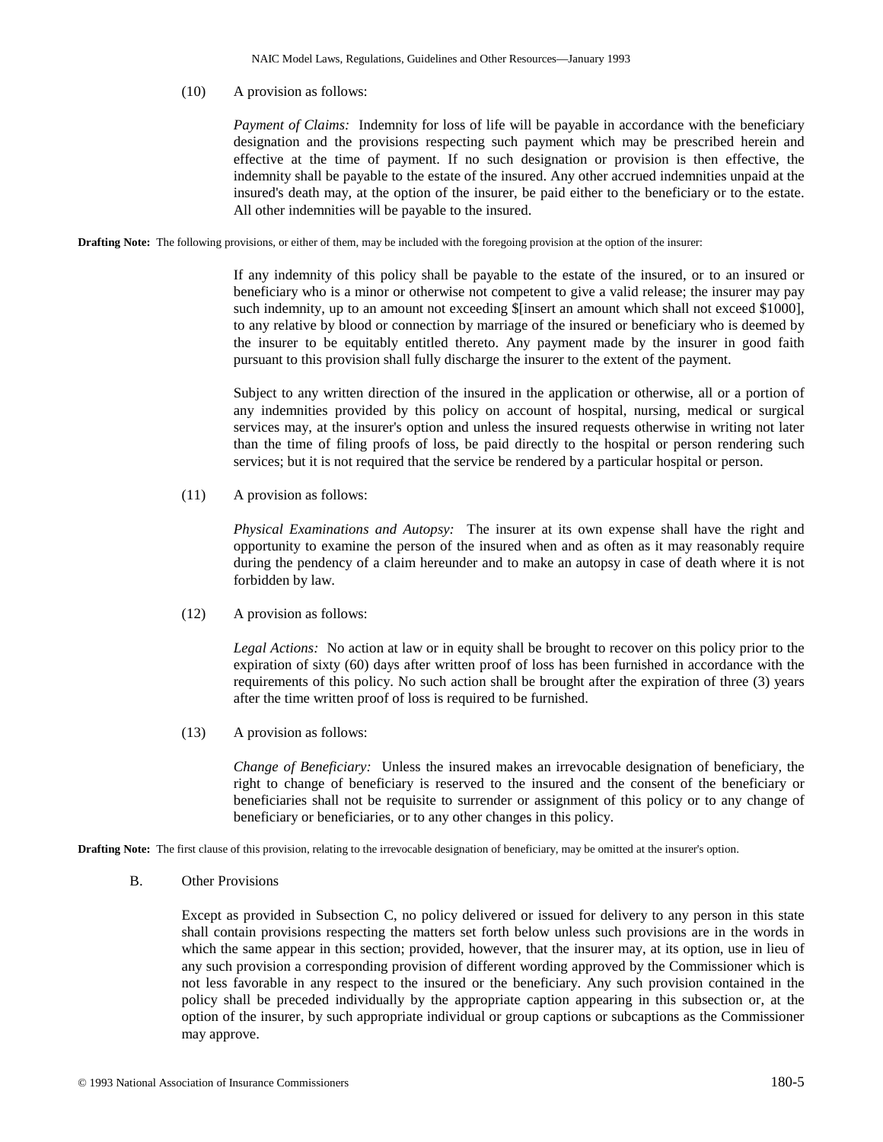#### (10) A provision as follows:

*Payment of Claims:* Indemnity for loss of life will be payable in accordance with the beneficiary designation and the provisions respecting such payment which may be prescribed herein and effective at the time of payment. If no such designation or provision is then effective, the indemnity shall be payable to the estate of the insured. Any other accrued indemnities unpaid at the insured's death may, at the option of the insurer, be paid either to the beneficiary or to the estate. All other indemnities will be payable to the insured.

**Drafting Note:** The following provisions, or either of them, may be included with the foregoing provision at the option of the insurer:

If any indemnity of this policy shall be payable to the estate of the insured, or to an insured or beneficiary who is a minor or otherwise not competent to give a valid release; the insurer may pay such indemnity, up to an amount not exceeding \$[insert an amount which shall not exceed \$1000], to any relative by blood or connection by marriage of the insured or beneficiary who is deemed by the insurer to be equitably entitled thereto. Any payment made by the insurer in good faith pursuant to this provision shall fully discharge the insurer to the extent of the payment.

Subject to any written direction of the insured in the application or otherwise, all or a portion of any indemnities provided by this policy on account of hospital, nursing, medical or surgical services may, at the insurer's option and unless the insured requests otherwise in writing not later than the time of filing proofs of loss, be paid directly to the hospital or person rendering such services; but it is not required that the service be rendered by a particular hospital or person.

(11) A provision as follows:

*Physical Examinations and Autopsy:* The insurer at its own expense shall have the right and opportunity to examine the person of the insured when and as often as it may reasonably require during the pendency of a claim hereunder and to make an autopsy in case of death where it is not forbidden by law.

(12) A provision as follows:

*Legal Actions:* No action at law or in equity shall be brought to recover on this policy prior to the expiration of sixty (60) days after written proof of loss has been furnished in accordance with the requirements of this policy. No such action shall be brought after the expiration of three (3) years after the time written proof of loss is required to be furnished.

(13) A provision as follows:

*Change of Beneficiary:* Unless the insured makes an irrevocable designation of beneficiary, the right to change of beneficiary is reserved to the insured and the consent of the beneficiary or beneficiaries shall not be requisite to surrender or assignment of this policy or to any change of beneficiary or beneficiaries, or to any other changes in this policy.

**Drafting Note:** The first clause of this provision, relating to the irrevocable designation of beneficiary, may be omitted at the insurer's option.

B. Other Provisions

Except as provided in Subsection C, no policy delivered or issued for delivery to any person in this state shall contain provisions respecting the matters set forth below unless such provisions are in the words in which the same appear in this section; provided, however, that the insurer may, at its option, use in lieu of any such provision a corresponding provision of different wording approved by the Commissioner which is not less favorable in any respect to the insured or the beneficiary. Any such provision contained in the policy shall be preceded individually by the appropriate caption appearing in this subsection or, at the option of the insurer, by such appropriate individual or group captions or subcaptions as the Commissioner may approve.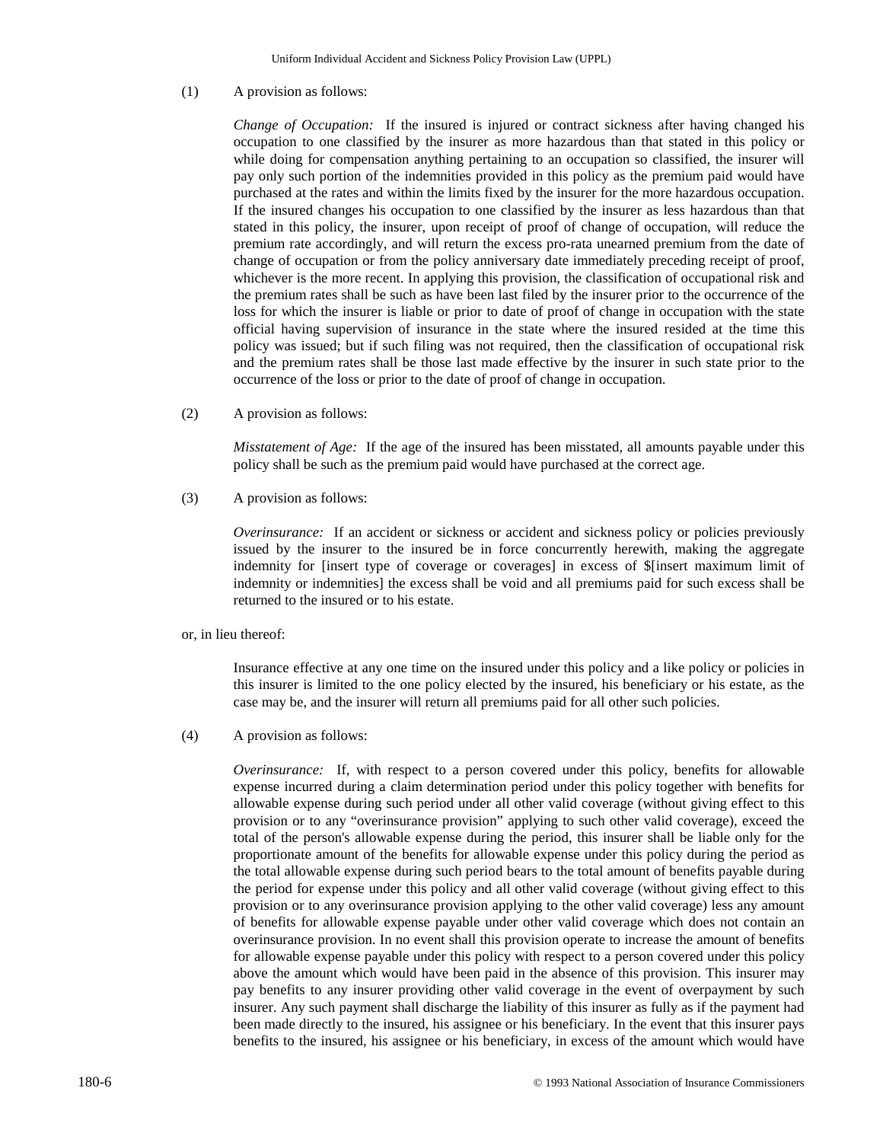# (1) A provision as follows:

*Change of Occupation:* If the insured is injured or contract sickness after having changed his occupation to one classified by the insurer as more hazardous than that stated in this policy or while doing for compensation anything pertaining to an occupation so classified, the insurer will pay only such portion of the indemnities provided in this policy as the premium paid would have purchased at the rates and within the limits fixed by the insurer for the more hazardous occupation. If the insured changes his occupation to one classified by the insurer as less hazardous than that stated in this policy, the insurer, upon receipt of proof of change of occupation, will reduce the premium rate accordingly, and will return the excess pro-rata unearned premium from the date of change of occupation or from the policy anniversary date immediately preceding receipt of proof, whichever is the more recent. In applying this provision, the classification of occupational risk and the premium rates shall be such as have been last filed by the insurer prior to the occurrence of the loss for which the insurer is liable or prior to date of proof of change in occupation with the state official having supervision of insurance in the state where the insured resided at the time this policy was issued; but if such filing was not required, then the classification of occupational risk and the premium rates shall be those last made effective by the insurer in such state prior to the occurrence of the loss or prior to the date of proof of change in occupation.

(2) A provision as follows:

*Misstatement of Age:* If the age of the insured has been misstated, all amounts payable under this policy shall be such as the premium paid would have purchased at the correct age.

(3) A provision as follows:

*Overinsurance:* If an accident or sickness or accident and sickness policy or policies previously issued by the insurer to the insured be in force concurrently herewith, making the aggregate indemnity for [insert type of coverage or coverages] in excess of \$[insert maximum limit of indemnity or indemnities] the excess shall be void and all premiums paid for such excess shall be returned to the insured or to his estate.

### or, in lieu thereof:

Insurance effective at any one time on the insured under this policy and a like policy or policies in this insurer is limited to the one policy elected by the insured, his beneficiary or his estate, as the case may be, and the insurer will return all premiums paid for all other such policies.

# (4) A provision as follows:

*Overinsurance:* If, with respect to a person covered under this policy, benefits for allowable expense incurred during a claim determination period under this policy together with benefits for allowable expense during such period under all other valid coverage (without giving effect to this provision or to any "overinsurance provision" applying to such other valid coverage), exceed the total of the person's allowable expense during the period, this insurer shall be liable only for the proportionate amount of the benefits for allowable expense under this policy during the period as the total allowable expense during such period bears to the total amount of benefits payable during the period for expense under this policy and all other valid coverage (without giving effect to this provision or to any overinsurance provision applying to the other valid coverage) less any amount of benefits for allowable expense payable under other valid coverage which does not contain an overinsurance provision. In no event shall this provision operate to increase the amount of benefits for allowable expense payable under this policy with respect to a person covered under this policy above the amount which would have been paid in the absence of this provision. This insurer may pay benefits to any insurer providing other valid coverage in the event of overpayment by such insurer. Any such payment shall discharge the liability of this insurer as fully as if the payment had been made directly to the insured, his assignee or his beneficiary. In the event that this insurer pays benefits to the insured, his assignee or his beneficiary, in excess of the amount which would have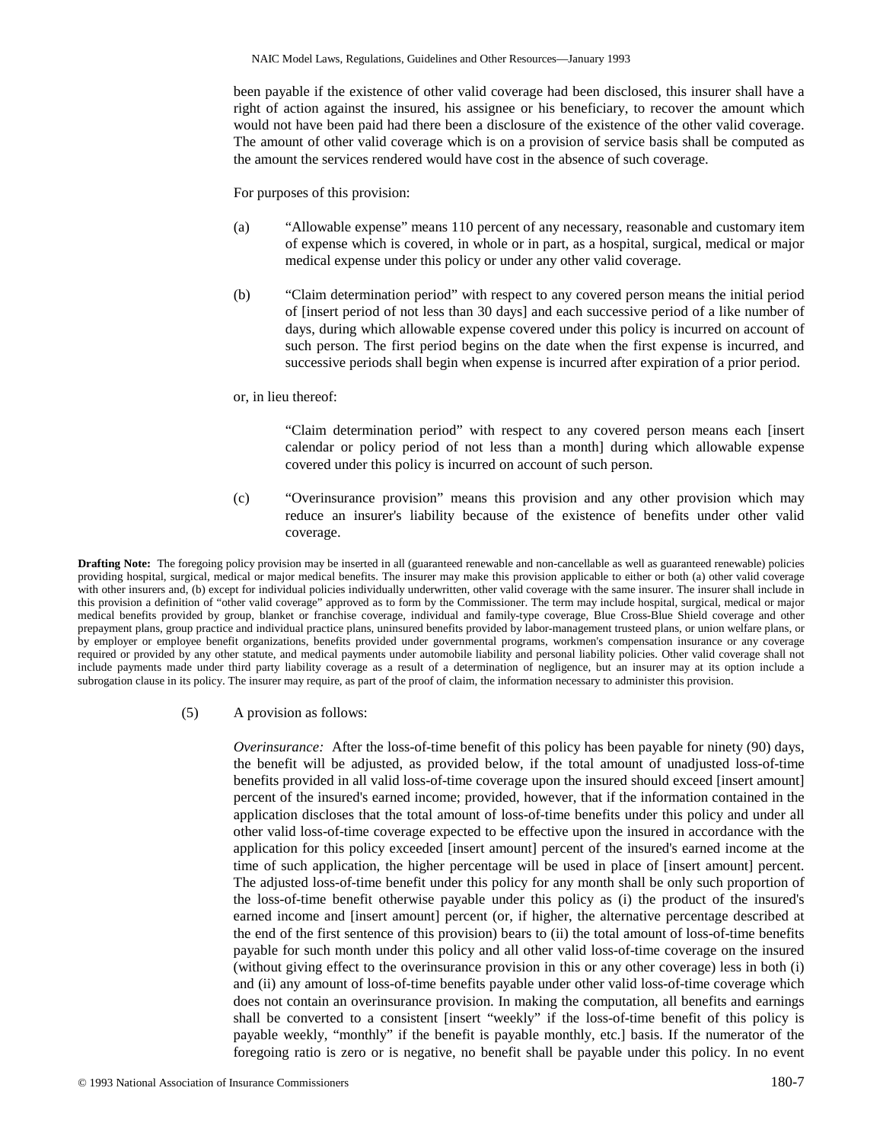been payable if the existence of other valid coverage had been disclosed, this insurer shall have a right of action against the insured, his assignee or his beneficiary, to recover the amount which would not have been paid had there been a disclosure of the existence of the other valid coverage. The amount of other valid coverage which is on a provision of service basis shall be computed as the amount the services rendered would have cost in the absence of such coverage.

For purposes of this provision:

- (a) "Allowable expense" means 110 percent of any necessary, reasonable and customary item of expense which is covered, in whole or in part, as a hospital, surgical, medical or major medical expense under this policy or under any other valid coverage.
- (b) "Claim determination period" with respect to any covered person means the initial period of [insert period of not less than 30 days] and each successive period of a like number of days, during which allowable expense covered under this policy is incurred on account of such person. The first period begins on the date when the first expense is incurred, and successive periods shall begin when expense is incurred after expiration of a prior period.

#### or, in lieu thereof:

"Claim determination period" with respect to any covered person means each [insert calendar or policy period of not less than a month] during which allowable expense covered under this policy is incurred on account of such person.

(c) "Overinsurance provision" means this provision and any other provision which may reduce an insurer's liability because of the existence of benefits under other valid coverage.

**Drafting Note:** The foregoing policy provision may be inserted in all (guaranteed renewable and non-cancellable as well as guaranteed renewable) policies providing hospital, surgical, medical or major medical benefits. The insurer may make this provision applicable to either or both (a) other valid coverage with other insurers and, (b) except for individual policies individually underwritten, other valid coverage with the same insurer. The insurer shall include in this provision a definition of "other valid coverage" approved as to form by the Commissioner. The term may include hospital, surgical, medical or major medical benefits provided by group, blanket or franchise coverage, individual and family-type coverage, Blue Cross-Blue Shield coverage and other prepayment plans, group practice and individual practice plans, uninsured benefits provided by labor-management trusteed plans, or union welfare plans, or by employer or employee benefit organizations, benefits provided under governmental programs, workmen's compensation insurance or any coverage required or provided by any other statute, and medical payments under automobile liability and personal liability policies. Other valid coverage shall not include payments made under third party liability coverage as a result of a determination of negligence, but an insurer may at its option include a subrogation clause in its policy. The insurer may require, as part of the proof of claim, the information necessary to administer this provision.

#### (5) A provision as follows:

*Overinsurance:* After the loss-of-time benefit of this policy has been payable for ninety (90) days, the benefit will be adjusted, as provided below, if the total amount of unadjusted loss-of-time benefits provided in all valid loss-of-time coverage upon the insured should exceed [insert amount] percent of the insured's earned income; provided, however, that if the information contained in the application discloses that the total amount of loss-of-time benefits under this policy and under all other valid loss-of-time coverage expected to be effective upon the insured in accordance with the application for this policy exceeded [insert amount] percent of the insured's earned income at the time of such application, the higher percentage will be used in place of [insert amount] percent. The adjusted loss-of-time benefit under this policy for any month shall be only such proportion of the loss-of-time benefit otherwise payable under this policy as (i) the product of the insured's earned income and [insert amount] percent (or, if higher, the alternative percentage described at the end of the first sentence of this provision) bears to (ii) the total amount of loss-of-time benefits payable for such month under this policy and all other valid loss-of-time coverage on the insured (without giving effect to the overinsurance provision in this or any other coverage) less in both (i) and (ii) any amount of loss-of-time benefits payable under other valid loss-of-time coverage which does not contain an overinsurance provision. In making the computation, all benefits and earnings shall be converted to a consistent [insert "weekly" if the loss-of-time benefit of this policy is payable weekly, "monthly" if the benefit is payable monthly, etc.] basis. If the numerator of the foregoing ratio is zero or is negative, no benefit shall be payable under this policy. In no event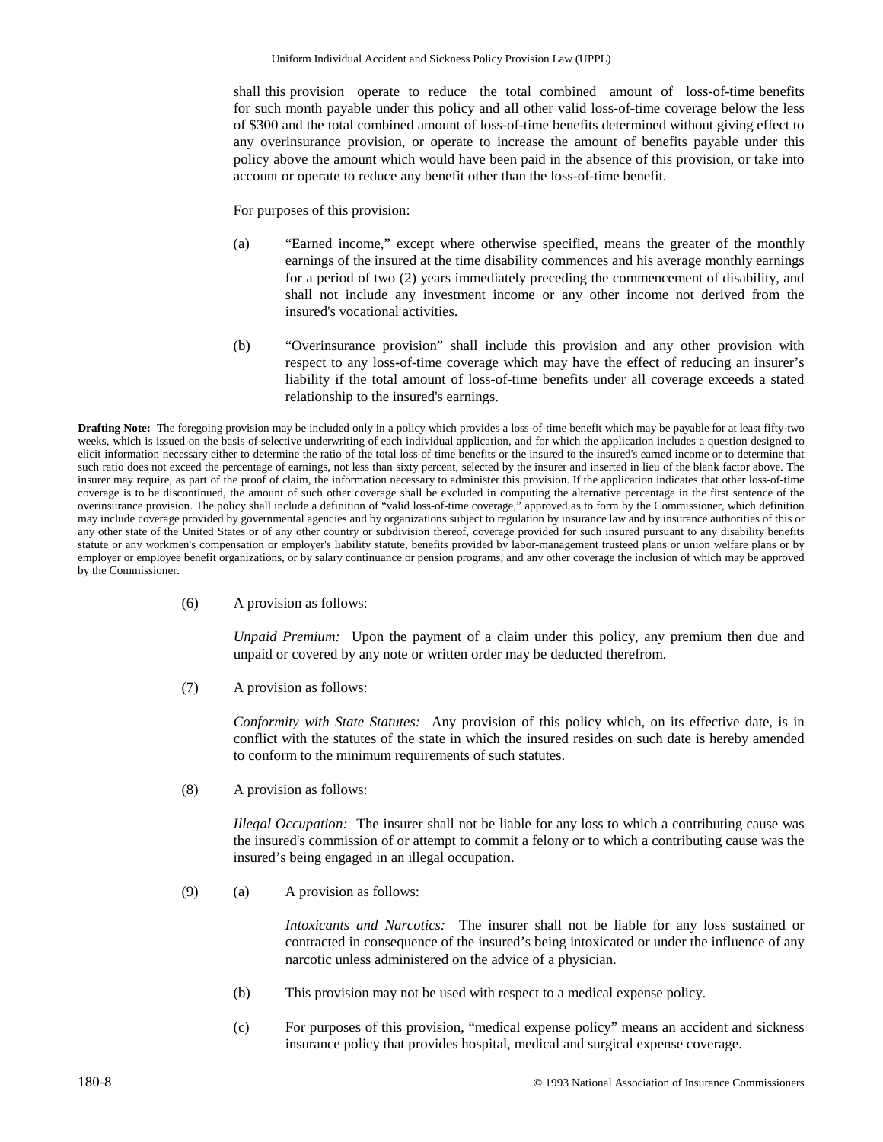shall this provision operate to reduce the total combined amount of loss-of-time benefits for such month payable under this policy and all other valid loss-of-time coverage below the less of \$300 and the total combined amount of loss-of-time benefits determined without giving effect to any overinsurance provision, or operate to increase the amount of benefits payable under this policy above the amount which would have been paid in the absence of this provision, or take into account or operate to reduce any benefit other than the loss-of-time benefit.

For purposes of this provision:

- (a) "Earned income," except where otherwise specified, means the greater of the monthly earnings of the insured at the time disability commences and his average monthly earnings for a period of two (2) years immediately preceding the commencement of disability, and shall not include any investment income or any other income not derived from the insured's vocational activities.
- (b) "Overinsurance provision" shall include this provision and any other provision with respect to any loss-of-time coverage which may have the effect of reducing an insurer's liability if the total amount of loss-of-time benefits under all coverage exceeds a stated relationship to the insured's earnings.

**Drafting Note:** The foregoing provision may be included only in a policy which provides a loss-of-time benefit which may be payable for at least fifty-two weeks, which is issued on the basis of selective underwriting of each individual application, and for which the application includes a question designed to elicit information necessary either to determine the ratio of the total loss-of-time benefits or the insured to the insured's earned income or to determine that such ratio does not exceed the percentage of earnings, not less than sixty percent, selected by the insurer and inserted in lieu of the blank factor above. The insurer may require, as part of the proof of claim, the information necessary to administer this provision. If the application indicates that other loss-of-time coverage is to be discontinued, the amount of such other coverage shall be excluded in computing the alternative percentage in the first sentence of the overinsurance provision. The policy shall include a definition of "valid loss-of-time coverage," approved as to form by the Commissioner, which definition may include coverage provided by governmental agencies and by organizations subject to regulation by insurance law and by insurance authorities of this or any other state of the United States or of any other country or subdivision thereof, coverage provided for such insured pursuant to any disability benefits statute or any workmen's compensation or employer's liability statute, benefits provided by labor-management trusteed plans or union welfare plans or by employer or employee benefit organizations, or by salary continuance or pension programs, and any other coverage the inclusion of which may be approved by the Commissioner.

(6) A provision as follows:

*Unpaid Premium:* Upon the payment of a claim under this policy, any premium then due and unpaid or covered by any note or written order may be deducted therefrom.

(7) A provision as follows:

*Conformity with State Statutes:* Any provision of this policy which, on its effective date, is in conflict with the statutes of the state in which the insured resides on such date is hereby amended to conform to the minimum requirements of such statutes.

(8) A provision as follows:

*Illegal Occupation:* The insurer shall not be liable for any loss to which a contributing cause was the insured's commission of or attempt to commit a felony or to which a contributing cause was the insured's being engaged in an illegal occupation.

(9) (a) A provision as follows:

*Intoxicants and Narcotics:* The insurer shall not be liable for any loss sustained or contracted in consequence of the insured's being intoxicated or under the influence of any narcotic unless administered on the advice of a physician.

- (b) This provision may not be used with respect to a medical expense policy.
- (c) For purposes of this provision, "medical expense policy" means an accident and sickness insurance policy that provides hospital, medical and surgical expense coverage.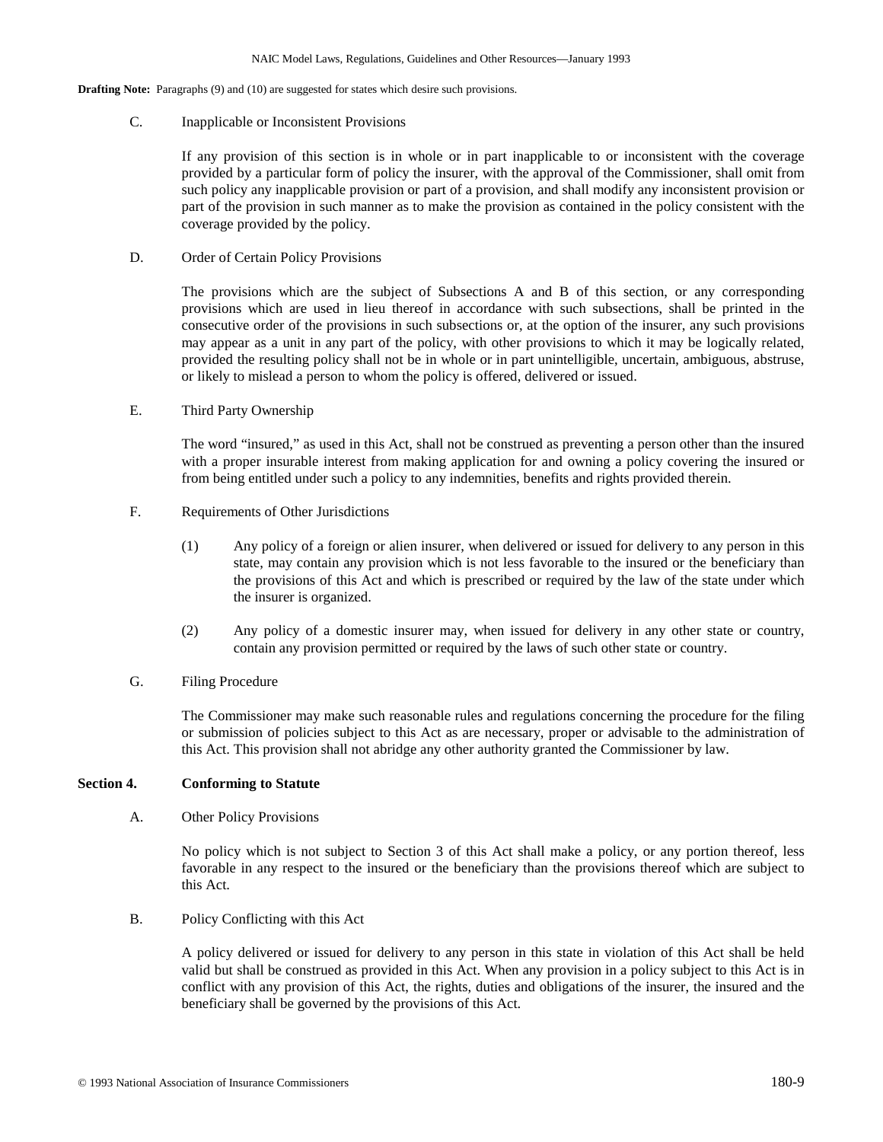**Drafting Note:** Paragraphs (9) and (10) are suggested for states which desire such provisions.

#### C. Inapplicable or Inconsistent Provisions

If any provision of this section is in whole or in part inapplicable to or inconsistent with the coverage provided by a particular form of policy the insurer, with the approval of the Commissioner, shall omit from such policy any inapplicable provision or part of a provision, and shall modify any inconsistent provision or part of the provision in such manner as to make the provision as contained in the policy consistent with the coverage provided by the policy.

### D. Order of Certain Policy Provisions

The provisions which are the subject of Subsections A and B of this section, or any corresponding provisions which are used in lieu thereof in accordance with such subsections, shall be printed in the consecutive order of the provisions in such subsections or, at the option of the insurer, any such provisions may appear as a unit in any part of the policy, with other provisions to which it may be logically related, provided the resulting policy shall not be in whole or in part unintelligible, uncertain, ambiguous, abstruse, or likely to mislead a person to whom the policy is offered, delivered or issued.

# E. Third Party Ownership

The word "insured," as used in this Act, shall not be construed as preventing a person other than the insured with a proper insurable interest from making application for and owning a policy covering the insured or from being entitled under such a policy to any indemnities, benefits and rights provided therein.

- F. Requirements of Other Jurisdictions
	- (1) Any policy of a foreign or alien insurer, when delivered or issued for delivery to any person in this state, may contain any provision which is not less favorable to the insured or the beneficiary than the provisions of this Act and which is prescribed or required by the law of the state under which the insurer is organized.
	- (2) Any policy of a domestic insurer may, when issued for delivery in any other state or country, contain any provision permitted or required by the laws of such other state or country.
- G. Filing Procedure

The Commissioner may make such reasonable rules and regulations concerning the procedure for the filing or submission of policies subject to this Act as are necessary, proper or advisable to the administration of this Act. This provision shall not abridge any other authority granted the Commissioner by law.

# **Section 4. Conforming to Statute**

A. Other Policy Provisions

No policy which is not subject to Section 3 of this Act shall make a policy, or any portion thereof, less favorable in any respect to the insured or the beneficiary than the provisions thereof which are subject to this Act.

B. Policy Conflicting with this Act

A policy delivered or issued for delivery to any person in this state in violation of this Act shall be held valid but shall be construed as provided in this Act. When any provision in a policy subject to this Act is in conflict with any provision of this Act, the rights, duties and obligations of the insurer, the insured and the beneficiary shall be governed by the provisions of this Act.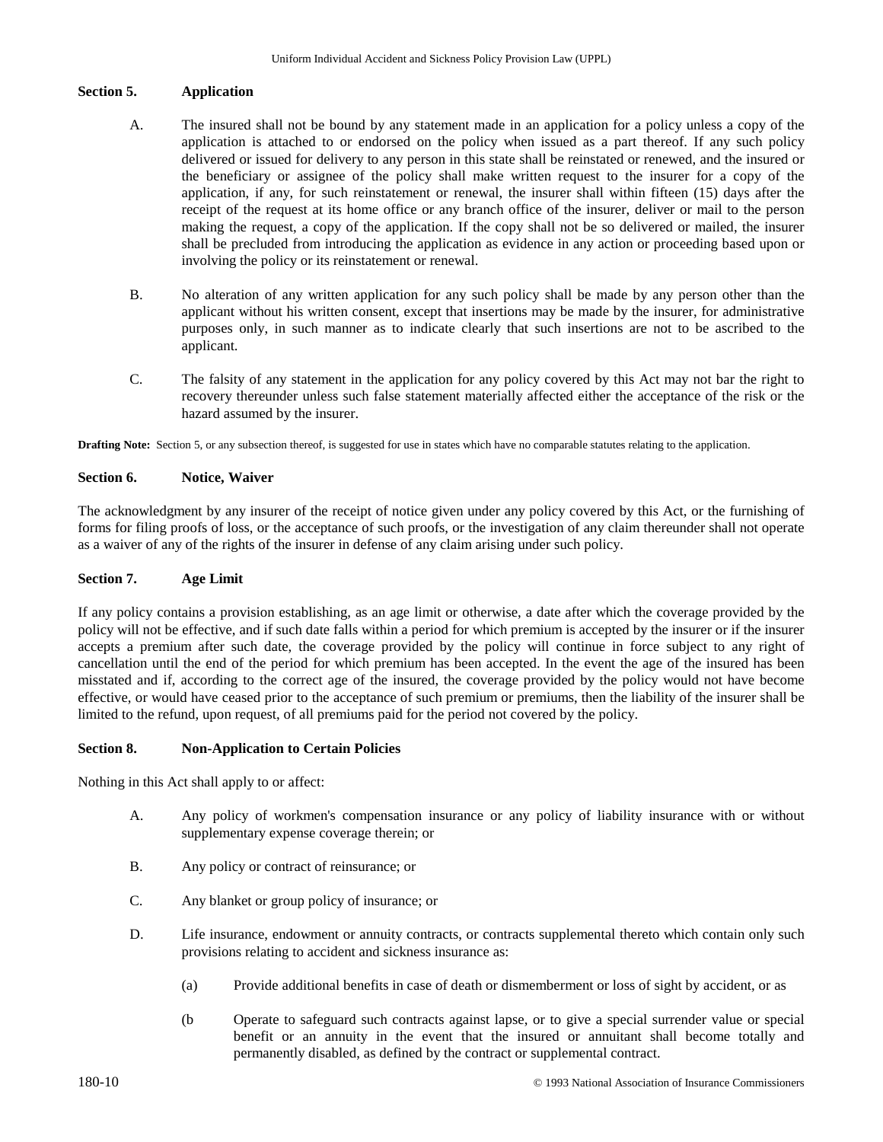# **Section 5. Application**

- A. The insured shall not be bound by any statement made in an application for a policy unless a copy of the application is attached to or endorsed on the policy when issued as a part thereof. If any such policy delivered or issued for delivery to any person in this state shall be reinstated or renewed, and the insured or the beneficiary or assignee of the policy shall make written request to the insurer for a copy of the application, if any, for such reinstatement or renewal, the insurer shall within fifteen (15) days after the receipt of the request at its home office or any branch office of the insurer, deliver or mail to the person making the request, a copy of the application. If the copy shall not be so delivered or mailed, the insurer shall be precluded from introducing the application as evidence in any action or proceeding based upon or involving the policy or its reinstatement or renewal.
- B. No alteration of any written application for any such policy shall be made by any person other than the applicant without his written consent, except that insertions may be made by the insurer, for administrative purposes only, in such manner as to indicate clearly that such insertions are not to be ascribed to the applicant.
- C. The falsity of any statement in the application for any policy covered by this Act may not bar the right to recovery thereunder unless such false statement materially affected either the acceptance of the risk or the hazard assumed by the insurer.

**Drafting Note:** Section 5, or any subsection thereof, is suggested for use in states which have no comparable statutes relating to the application.

# **Section 6. Notice, Waiver**

The acknowledgment by any insurer of the receipt of notice given under any policy covered by this Act, or the furnishing of forms for filing proofs of loss, or the acceptance of such proofs, or the investigation of any claim thereunder shall not operate as a waiver of any of the rights of the insurer in defense of any claim arising under such policy.

# **Section 7. Age Limit**

If any policy contains a provision establishing, as an age limit or otherwise, a date after which the coverage provided by the policy will not be effective, and if such date falls within a period for which premium is accepted by the insurer or if the insurer accepts a premium after such date, the coverage provided by the policy will continue in force subject to any right of cancellation until the end of the period for which premium has been accepted. In the event the age of the insured has been misstated and if, according to the correct age of the insured, the coverage provided by the policy would not have become effective, or would have ceased prior to the acceptance of such premium or premiums, then the liability of the insurer shall be limited to the refund, upon request, of all premiums paid for the period not covered by the policy.

# **Section 8. Non-Application to Certain Policies**

Nothing in this Act shall apply to or affect:

- A. Any policy of workmen's compensation insurance or any policy of liability insurance with or without supplementary expense coverage therein; or
- B. Any policy or contract of reinsurance; or
- C. Any blanket or group policy of insurance; or
- D. Life insurance, endowment or annuity contracts, or contracts supplemental thereto which contain only such provisions relating to accident and sickness insurance as:
	- (a) Provide additional benefits in case of death or dismemberment or loss of sight by accident, or as
	- (b Operate to safeguard such contracts against lapse, or to give a special surrender value or special benefit or an annuity in the event that the insured or annuitant shall become totally and permanently disabled, as defined by the contract or supplemental contract.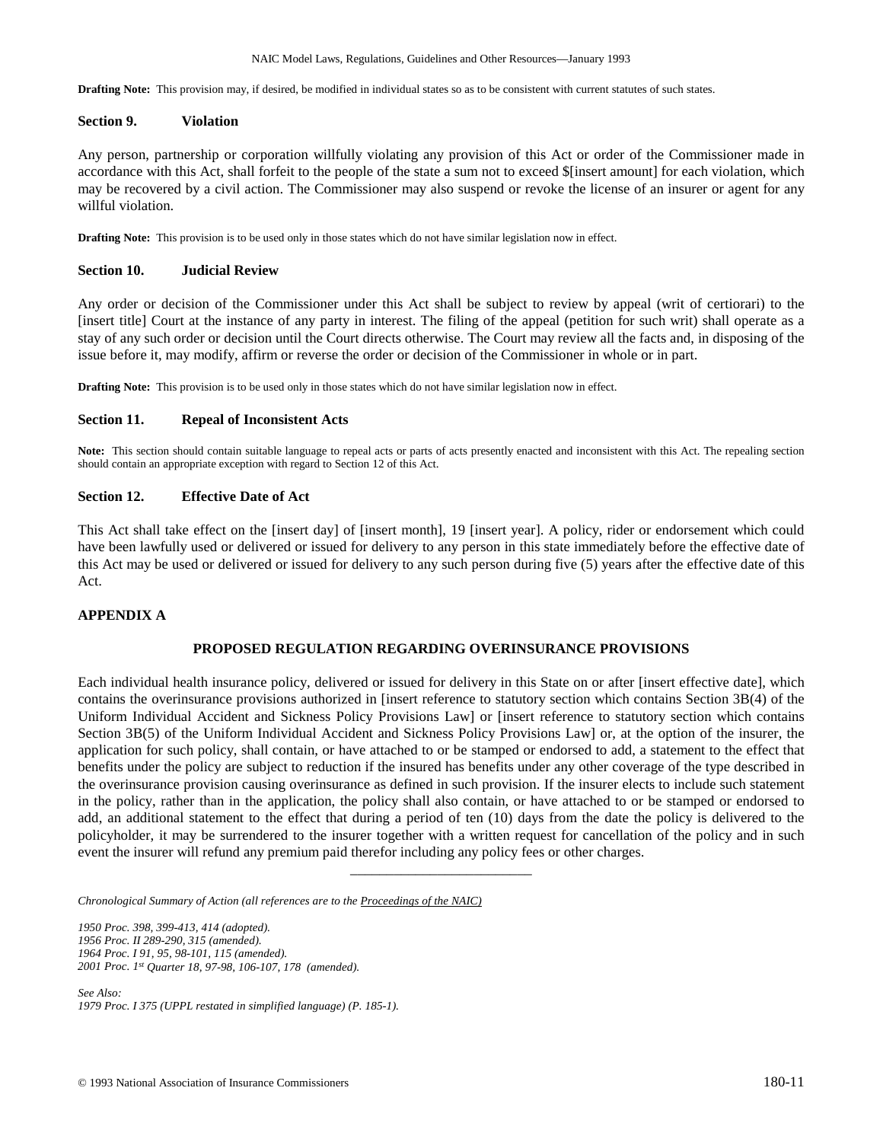#### NAIC Model Laws, Regulations, Guidelines and Other Resources—January 1993

**Drafting Note:** This provision may, if desired, be modified in individual states so as to be consistent with current statutes of such states.

# **Section 9. Violation**

Any person, partnership or corporation willfully violating any provision of this Act or order of the Commissioner made in accordance with this Act, shall forfeit to the people of the state a sum not to exceed \$[insert amount] for each violation, which may be recovered by a civil action. The Commissioner may also suspend or revoke the license of an insurer or agent for any willful violation.

**Drafting Note:** This provision is to be used only in those states which do not have similar legislation now in effect.

# **Section 10. Judicial Review**

Any order or decision of the Commissioner under this Act shall be subject to review by appeal (writ of certiorari) to the [insert title] Court at the instance of any party in interest. The filing of the appeal (petition for such writ) shall operate as a stay of any such order or decision until the Court directs otherwise. The Court may review all the facts and, in disposing of the issue before it, may modify, affirm or reverse the order or decision of the Commissioner in whole or in part.

**Drafting Note:** This provision is to be used only in those states which do not have similar legislation now in effect.

# **Section 11. Repeal of Inconsistent Acts**

Note: This section should contain suitable language to repeal acts or parts of acts presently enacted and inconsistent with this Act. The repealing section should contain an appropriate exception with regard to Section 12 of this Act.

# **Section 12. Effective Date of Act**

This Act shall take effect on the [insert day] of [insert month], 19 [insert year]. A policy, rider or endorsement which could have been lawfully used or delivered or issued for delivery to any person in this state immediately before the effective date of this Act may be used or delivered or issued for delivery to any such person during five (5) years after the effective date of this Act.

# **APPENDIX A**

### **PROPOSED REGULATION REGARDING OVERINSURANCE PROVISIONS**

Each individual health insurance policy, delivered or issued for delivery in this State on or after [insert effective date], which contains the overinsurance provisions authorized in [insert reference to statutory section which contains Section 3B(4) of the Uniform Individual Accident and Sickness Policy Provisions Law] or [insert reference to statutory section which contains Section 3B(5) of the Uniform Individual Accident and Sickness Policy Provisions Law] or, at the option of the insurer, the application for such policy, shall contain, or have attached to or be stamped or endorsed to add, a statement to the effect that benefits under the policy are subject to reduction if the insured has benefits under any other coverage of the type described in the overinsurance provision causing overinsurance as defined in such provision. If the insurer elects to include such statement in the policy, rather than in the application, the policy shall also contain, or have attached to or be stamped or endorsed to add, an additional statement to the effect that during a period of ten (10) days from the date the policy is delivered to the policyholder, it may be surrendered to the insurer together with a written request for cancellation of the policy and in such event the insurer will refund any premium paid therefor including any policy fees or other charges.

\_\_\_\_\_\_\_\_\_\_\_\_\_\_\_\_\_\_\_\_\_\_\_\_\_

*Chronological Summary of Action (all references are to the Proceedings of the NAIC)*

*1950 Proc. 398, 399-413, 414 (adopted). 1956 Proc. II 289-290, 315 (amended).*

*1964 Proc. I 91, 95, 98-101, 115 (amended).*

*2001 Proc. 1st Quarter 18, 97-98, 106-107, 178 (amended).*

*See Also: 1979 Proc. I 375 (UPPL restated in simplified language) (P. 185-1).*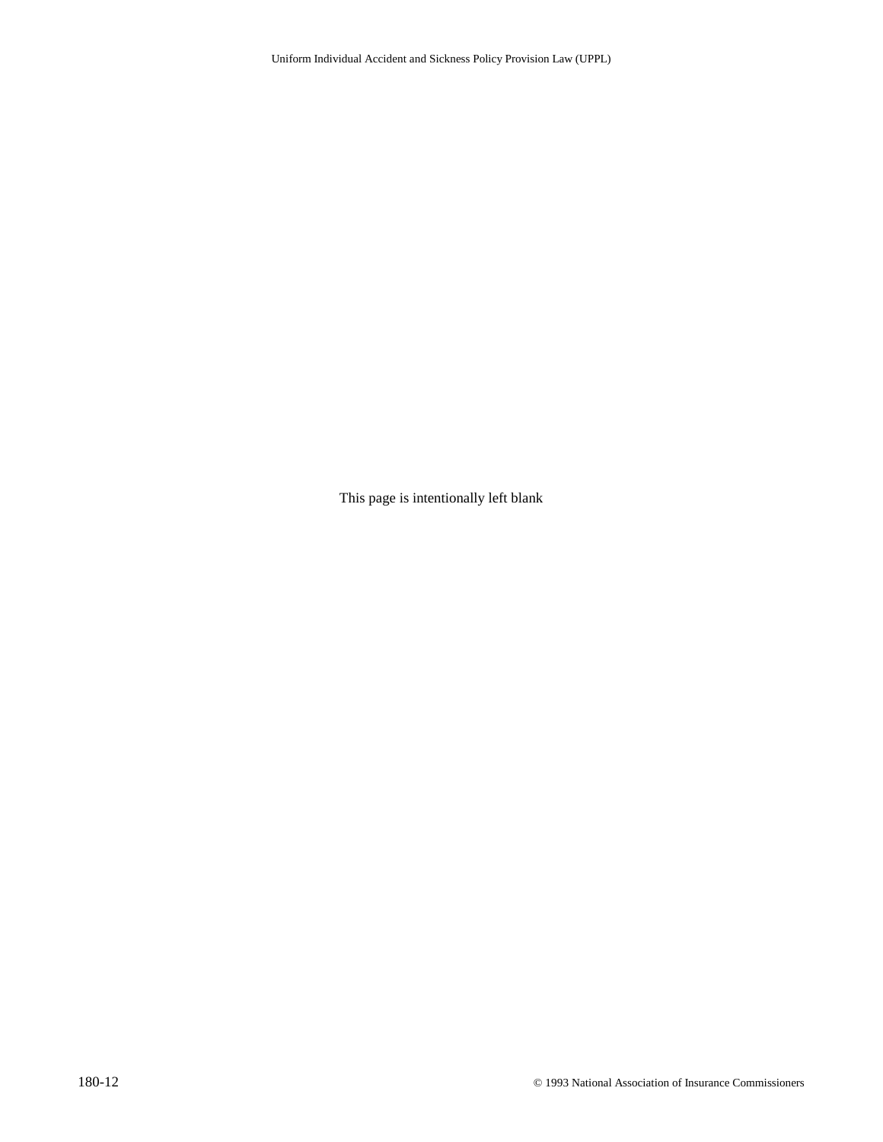This page is intentionally left blank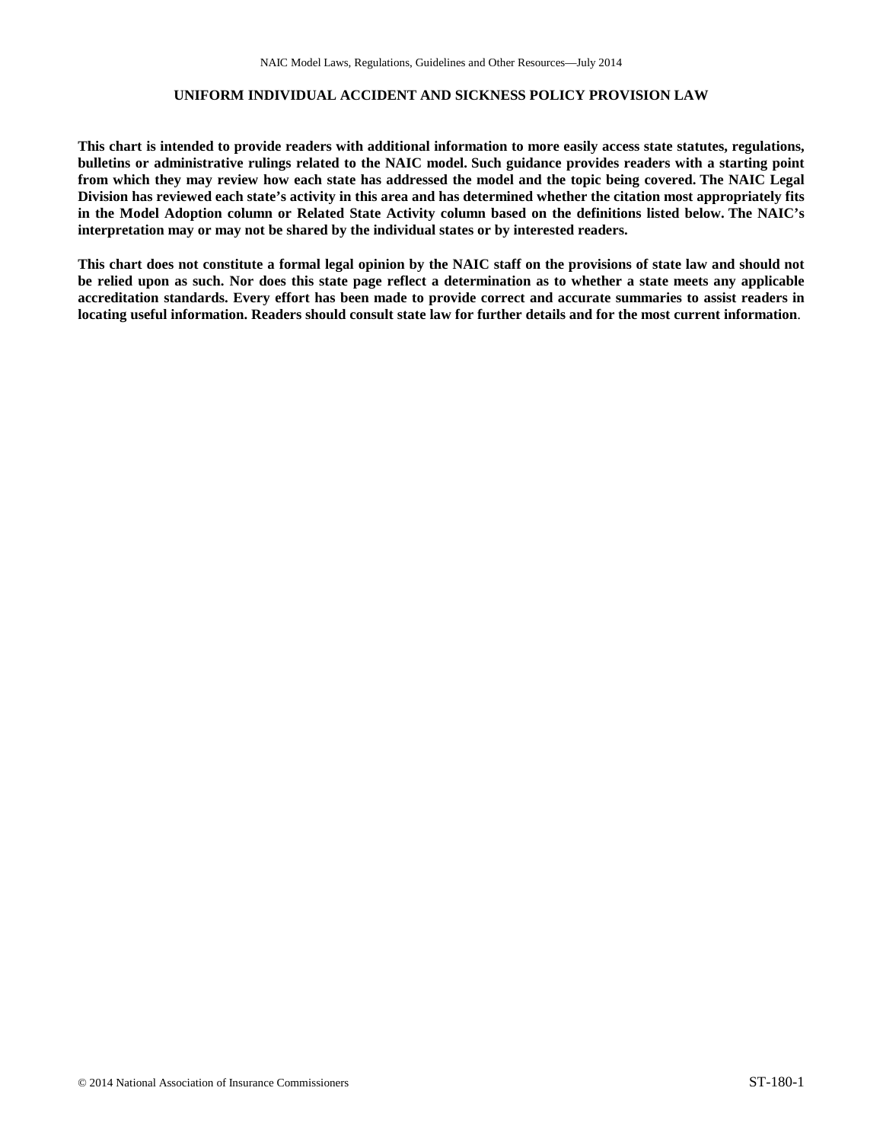**This chart is intended to provide readers with additional information to more easily access state statutes, regulations, bulletins or administrative rulings related to the NAIC model. Such guidance provides readers with a starting point from which they may review how each state has addressed the model and the topic being covered. The NAIC Legal Division has reviewed each state's activity in this area and has determined whether the citation most appropriately fits in the Model Adoption column or Related State Activity column based on the definitions listed below. The NAIC's interpretation may or may not be shared by the individual states or by interested readers.** 

**This chart does not constitute a formal legal opinion by the NAIC staff on the provisions of state law and should not be relied upon as such. Nor does this state page reflect a determination as to whether a state meets any applicable accreditation standards. Every effort has been made to provide correct and accurate summaries to assist readers in locating useful information. Readers should consult state law for further details and for the most current information**.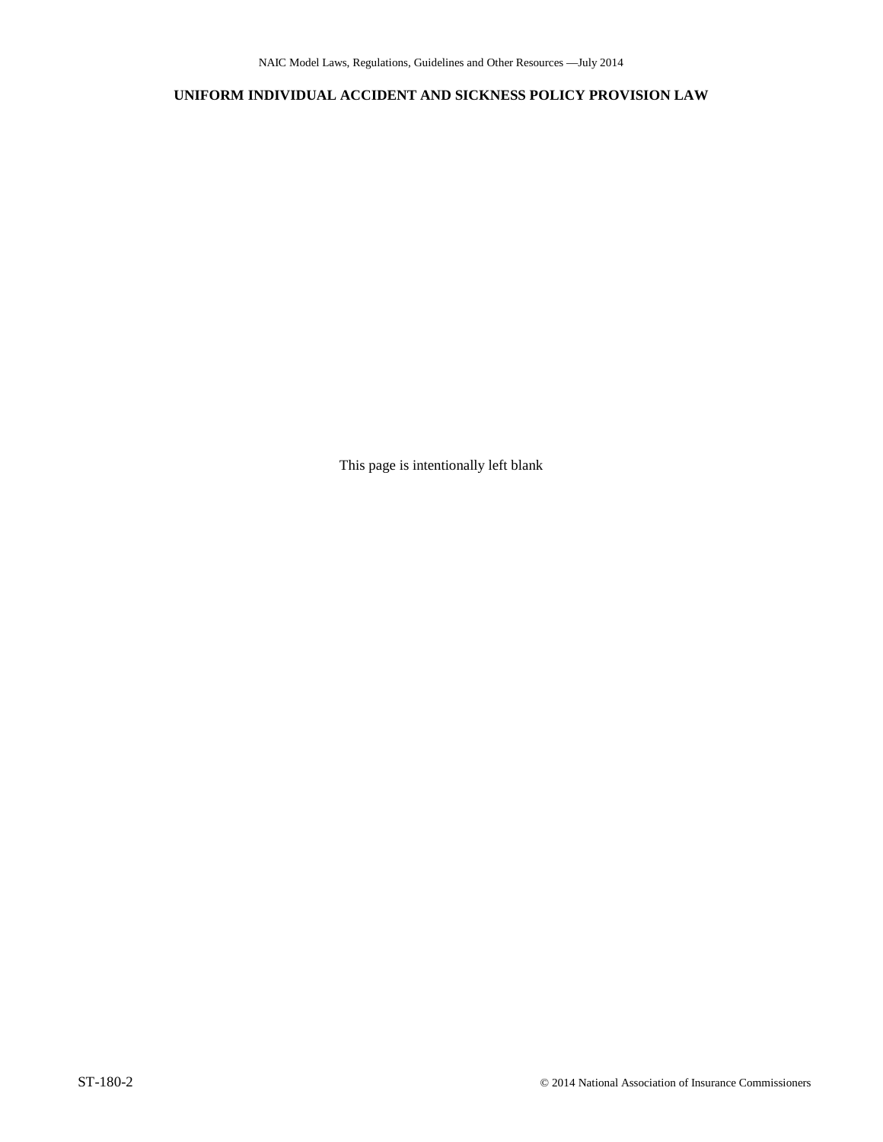This page is intentionally left blank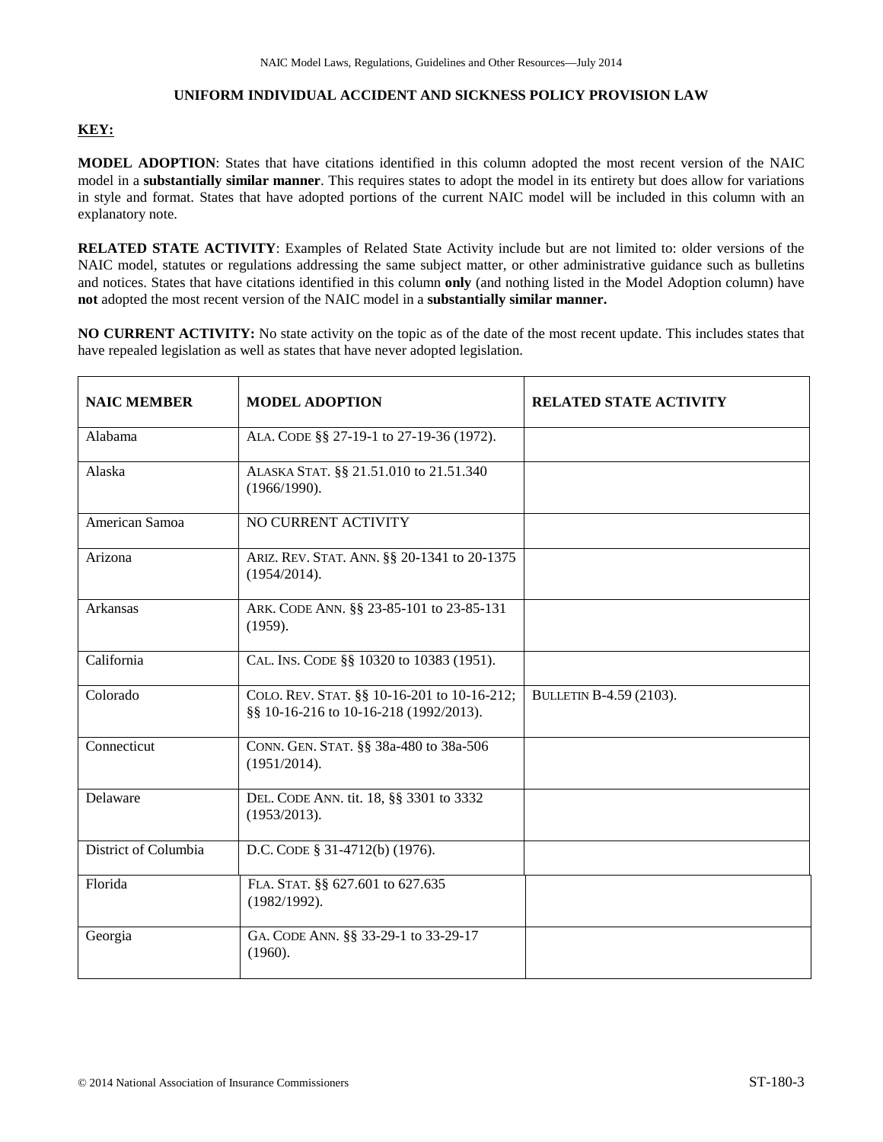# **KEY:**

**MODEL ADOPTION**: States that have citations identified in this column adopted the most recent version of the NAIC model in a **substantially similar manner**. This requires states to adopt the model in its entirety but does allow for variations in style and format. States that have adopted portions of the current NAIC model will be included in this column with an explanatory note.

**RELATED STATE ACTIVITY**: Examples of Related State Activity include but are not limited to: older versions of the NAIC model, statutes or regulations addressing the same subject matter, or other administrative guidance such as bulletins and notices. States that have citations identified in this column **only** (and nothing listed in the Model Adoption column) have **not** adopted the most recent version of the NAIC model in a **substantially similar manner.**

**NO CURRENT ACTIVITY:** No state activity on the topic as of the date of the most recent update. This includes states that have repealed legislation as well as states that have never adopted legislation.

| <b>NAIC MEMBER</b>   | <b>MODEL ADOPTION</b>                                                                 | <b>RELATED STATE ACTIVITY</b> |
|----------------------|---------------------------------------------------------------------------------------|-------------------------------|
| Alabama              | ALA. CODE §§ 27-19-1 to 27-19-36 (1972).                                              |                               |
| Alaska               | ALASKA STAT. §§ 21.51.010 to 21.51.340<br>(1966/1990).                                |                               |
| American Samoa       | NO CURRENT ACTIVITY                                                                   |                               |
| Arizona              | ARIZ. REV. STAT. ANN. §§ 20-1341 to 20-1375<br>(1954/2014).                           |                               |
| Arkansas             | ARK. CODE ANN. §§ 23-85-101 to 23-85-131<br>(1959).                                   |                               |
| California           | CAL. INS. CODE §§ 10320 to 10383 (1951).                                              |                               |
| Colorado             | COLO. REV. STAT. §§ 10-16-201 to 10-16-212;<br>§§ 10-16-216 to 10-16-218 (1992/2013). | BULLETIN B-4.59 (2103).       |
| Connecticut          | CONN. GEN. STAT. §§ 38a-480 to 38a-506<br>(1951/2014).                                |                               |
| Delaware             | DEL. CODE ANN. tit. 18, §§ 3301 to 3332<br>(1953/2013).                               |                               |
| District of Columbia | D.C. CODE § 31-4712(b) (1976).                                                        |                               |
| Florida              | FLA. STAT. §§ 627.601 to 627.635<br>$(1982/1992)$ .                                   |                               |
| Georgia              | GA. CODE ANN. §§ 33-29-1 to 33-29-17<br>(1960).                                       |                               |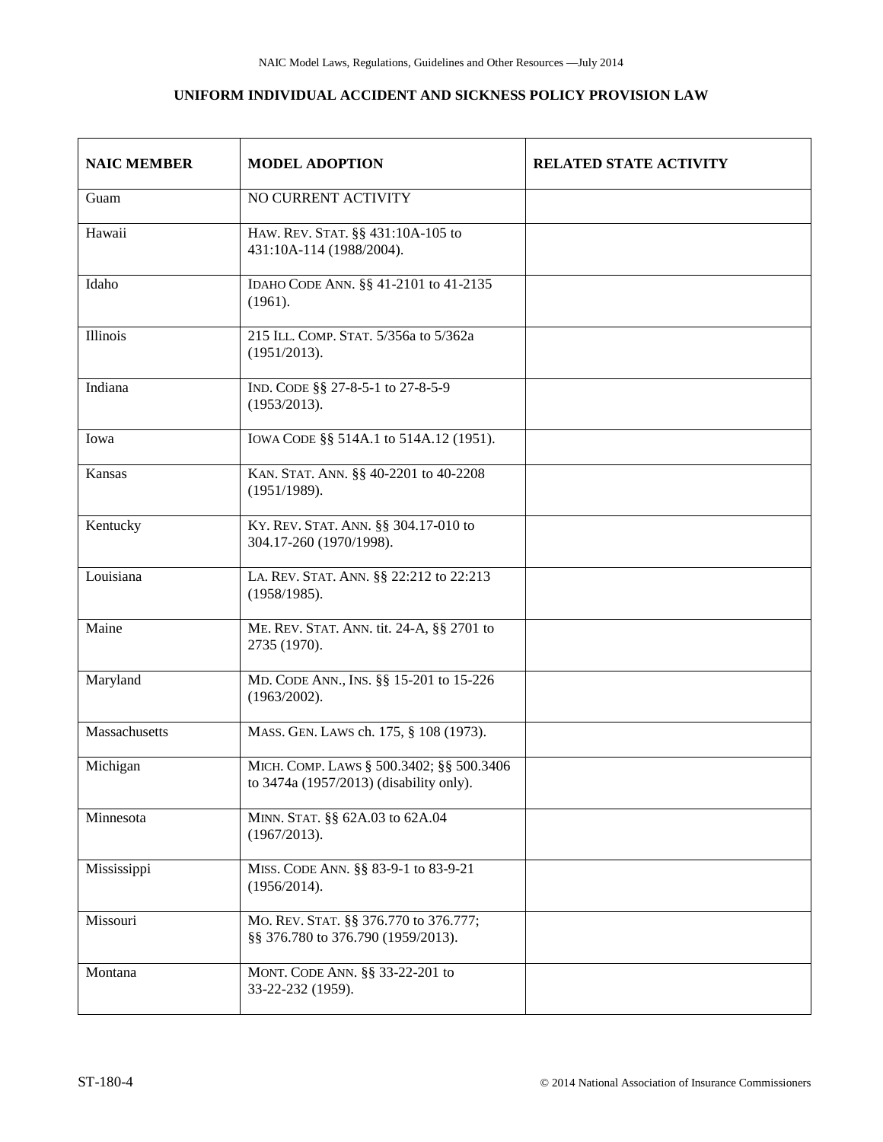| <b>NAIC MEMBER</b> | <b>MODEL ADOPTION</b>                                                               | RELATED STATE ACTIVITY |
|--------------------|-------------------------------------------------------------------------------------|------------------------|
| Guam               | NO CURRENT ACTIVITY                                                                 |                        |
| Hawaii             | HAW. REV. STAT. §§ 431:10A-105 to<br>431:10A-114 (1988/2004).                       |                        |
| Idaho              | IDAHO CODE ANN. §§ 41-2101 to 41-2135<br>(1961).                                    |                        |
| Illinois           | 215 ILL. COMP. STAT. 5/356a to 5/362a<br>(1951/2013).                               |                        |
| Indiana            | IND. CODE §§ 27-8-5-1 to 27-8-5-9<br>(1953/2013).                                   |                        |
| Iowa               | IOWA CODE §§ 514A.1 to 514A.12 (1951).                                              |                        |
| Kansas             | KAN. STAT. ANN. §§ 40-2201 to 40-2208<br>(1951/1989).                               |                        |
| Kentucky           | KY. REV. STAT. ANN. §§ 304.17-010 to<br>304.17-260 (1970/1998).                     |                        |
| Louisiana          | LA. REV. STAT. ANN. §§ 22:212 to 22:213<br>(1958/1985).                             |                        |
| Maine              | ME. REV. STAT. ANN. tit. 24-A, §§ 2701 to<br>2735 (1970).                           |                        |
| Maryland           | MD. CODE ANN., INS. §§ 15-201 to 15-226<br>(1963/2002).                             |                        |
| Massachusetts      | MASS. GEN. LAWS ch. 175, § 108 (1973).                                              |                        |
| Michigan           | MICH. COMP. LAWS § 500.3402; §§ 500.3406<br>to 3474a (1957/2013) (disability only). |                        |
| Minnesota          | MINN. STAT. §§ 62A.03 to 62A.04<br>(1967/2013).                                     |                        |
| Mississippi        | MISS. CODE ANN. §§ 83-9-1 to 83-9-21<br>(1956/2014).                                |                        |
| Missouri           | MO. REV. STAT. §§ 376.770 to 376.777;<br>§§ 376.780 to 376.790 (1959/2013).         |                        |
| Montana            | MONT. CODE ANN. §§ 33-22-201 to<br>33-22-232 (1959).                                |                        |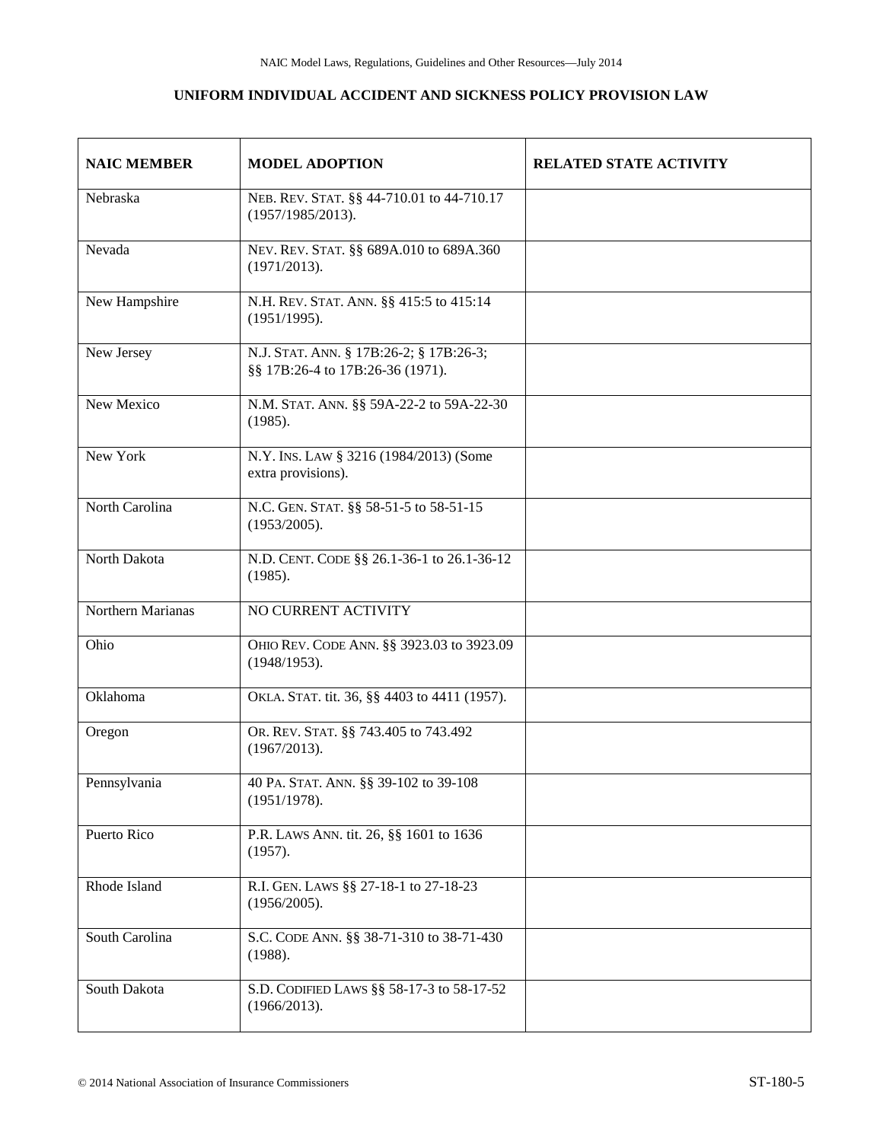| <b>NAIC MEMBER</b> | <b>MODEL ADOPTION</b>                                                       | <b>RELATED STATE ACTIVITY</b> |
|--------------------|-----------------------------------------------------------------------------|-------------------------------|
| Nebraska           | NEB. REV. STAT. §§ 44-710.01 to 44-710.17<br>(1957/1985/2013).              |                               |
| Nevada             | NEV. REV. STAT. §§ 689A.010 to 689A.360<br>(1971/2013).                     |                               |
| New Hampshire      | N.H. REV. STAT. ANN. §§ 415:5 to 415:14<br>(1951/1995).                     |                               |
| New Jersey         | N.J. STAT. ANN. § 17B:26-2; § 17B:26-3;<br>§§ 17B:26-4 to 17B:26-36 (1971). |                               |
| New Mexico         | N.M. STAT. ANN. §§ 59A-22-2 to 59A-22-30<br>(1985).                         |                               |
| New York           | N.Y. INS. LAW § 3216 (1984/2013) (Some<br>extra provisions).                |                               |
| North Carolina     | N.C. GEN. STAT. §§ 58-51-5 to 58-51-15<br>(1953/2005).                      |                               |
| North Dakota       | N.D. CENT. CODE §§ 26.1-36-1 to 26.1-36-12<br>(1985).                       |                               |
| Northern Marianas  | NO CURRENT ACTIVITY                                                         |                               |
| Ohio               | OHIO REV. CODE ANN. §§ 3923.03 to 3923.09<br>(1948/1953).                   |                               |
| Oklahoma           | OKLA. STAT. tit. 36, §§ 4403 to 4411 (1957).                                |                               |
| Oregon             | OR. REV. STAT. §§ 743.405 to 743.492<br>(1967/2013).                        |                               |
| Pennsylvania       | 40 PA. STAT. ANN. §§ 39-102 to 39-108<br>(1951/1978).                       |                               |
| Puerto Rico        | P.R. LAWS ANN. tit. 26, §§ 1601 to 1636<br>(1957).                          |                               |
| Rhode Island       | R.I. GEN. LAWS §§ 27-18-1 to 27-18-23<br>(1956/2005).                       |                               |
| South Carolina     | S.C. CODE ANN. §§ 38-71-310 to 38-71-430<br>(1988).                         |                               |
| South Dakota       | S.D. CODIFIED LAWS §§ 58-17-3 to 58-17-52<br>(1966/2013).                   |                               |